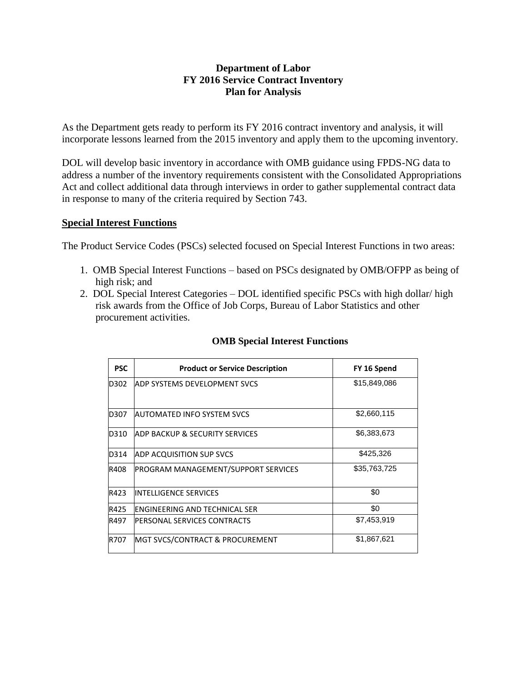## **Department of Labor FY 2016 Service Contract Inventory Plan for Analysis**

As the Department gets ready to perform its FY 2016 contract inventory and analysis, it will incorporate lessons learned from the 2015 inventory and apply them to the upcoming inventory.

DOL will develop basic inventory in accordance with OMB guidance using FPDS-NG data to address a number of the inventory requirements consistent with the Consolidated Appropriations Act and collect additional data through interviews in order to gather supplemental contract data in response to many of the criteria required by Section 743.

## **Special Interest Functions**

The Product Service Codes (PSCs) selected focused on Special Interest Functions in two areas:

- 1. OMB Special Interest Functions based on PSCs designated by OMB/OFPP as being of high risk; and
- 2. DOL Special Interest Categories DOL identified specific PSCs with high dollar/ high risk awards from the Office of Job Corps, Bureau of Labor Statistics and other procurement activities.

| <b>PSC</b> | <b>Product or Service Description</b>       | FY 16 Spend  |
|------------|---------------------------------------------|--------------|
| D302       | IADP SYSTEMS DEVELOPMENT SVCS               | \$15,849,086 |
| D307       | IAUTOMATED INFO SYSTEM SVCS                 | \$2,660,115  |
| D310       | IADP BACKUP & SECURITY SERVICES             | \$6,383,673  |
| D314       | <b>ADP ACQUISITION SUP SVCS</b>             | \$425,326    |
| R408       | PROGRAM MANAGEMENT/SUPPORT SERVICES         | \$35,763,725 |
| R423       | INTELLIGENCE SERVICES                       | \$0          |
| R425       | ENGINEERING AND TECHNICAL SER               | \$0          |
| R497       | IPERSONAL SERVICES CONTRACTS                | \$7,453,919  |
| R707       | <b>IMGT SVCS/CONTRACT &amp; PROCUREMENT</b> | \$1,867,621  |

## **OMB Special Interest Functions**